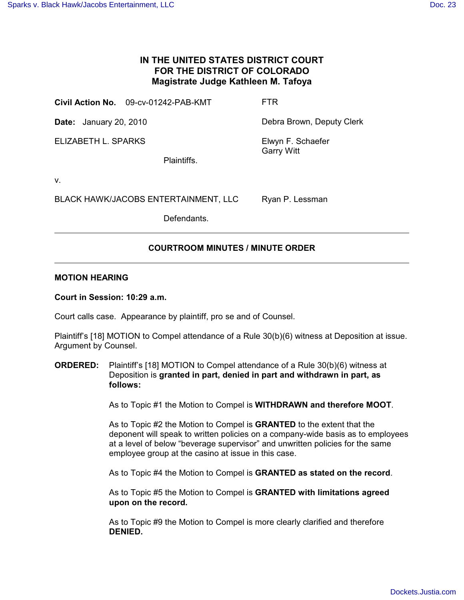## **IN THE UNITED STATES DISTRICT COURT FOR THE DISTRICT OF COLORADO Magistrate Judge Kathleen M. Tafoya**

| Civil Action No. 09-cv-01242-PAB-KMT | <b>FTR</b> |
|--------------------------------------|------------|
|                                      |            |

ELIZABETH L. SPARKS

**Date:** January 20, 2010 **Debra Brown, Deputy Clerk** 

Elwyn F. Schaefer Garry Witt

Ryan P. Lessman

Plaintiffs.

v.

BLACK HAWK/JACOBS ENTERTAINMENT, LLC

Defendants.

# **COURTROOM MINUTES / MINUTE ORDER**

### **MOTION HEARING**

#### **Court in Session: 10:29 a.m.**

Court calls case. Appearance by plaintiff, pro se and of Counsel.

Plaintiff's [18] MOTION to Compel attendance of a Rule 30(b)(6) witness at Deposition at issue. Argument by Counsel.

#### **ORDERED:** Plaintiff's [18] MOTION to Compel attendance of a Rule 30(b)(6) witness at Deposition is **granted in part, denied in part and withdrawn in part, as follows:**

As to Topic #1 the Motion to Compel is **WITHDRAWN and therefore MOOT**.

As to Topic #2 the Motion to Compel is **GRANTED** to the extent that the deponent will speak to written policies on a company-wide basis as to employees at a level of below "beverage supervisor" and unwritten policies for the same employee group at the casino at issue in this case.

As to Topic #4 the Motion to Compel is **GRANTED as stated on the record**.

As to Topic #5 the Motion to Compel is **GRANTED with limitations agreed upon on the record.**

As to Topic #9 the Motion to Compel is more clearly clarified and therefore **DENIED.**